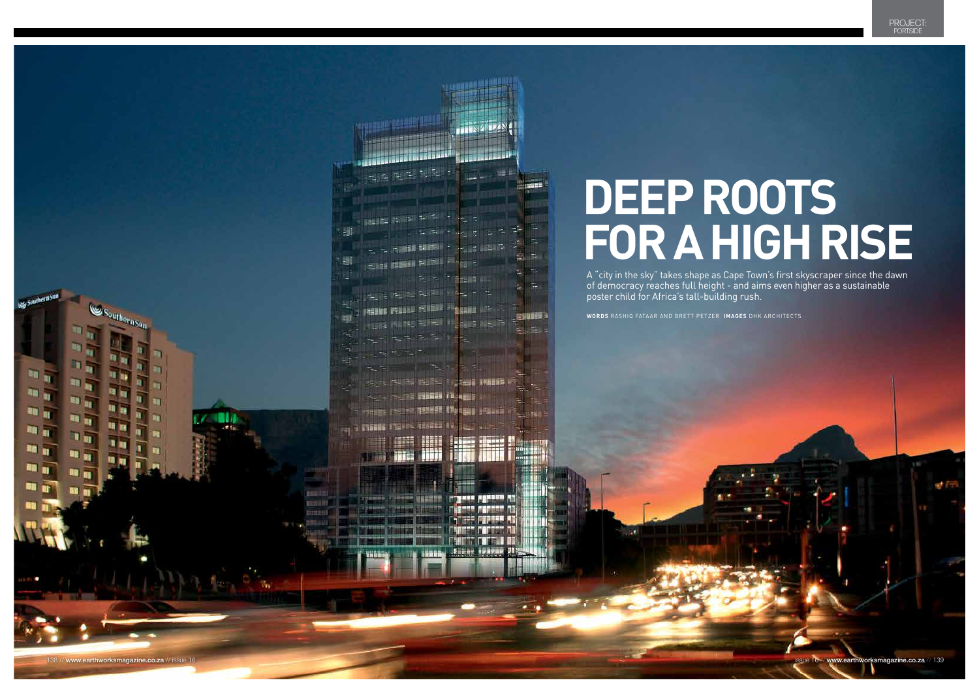



# **for A high rise**

of democracy reaches full height - and aims even higher as a sustainable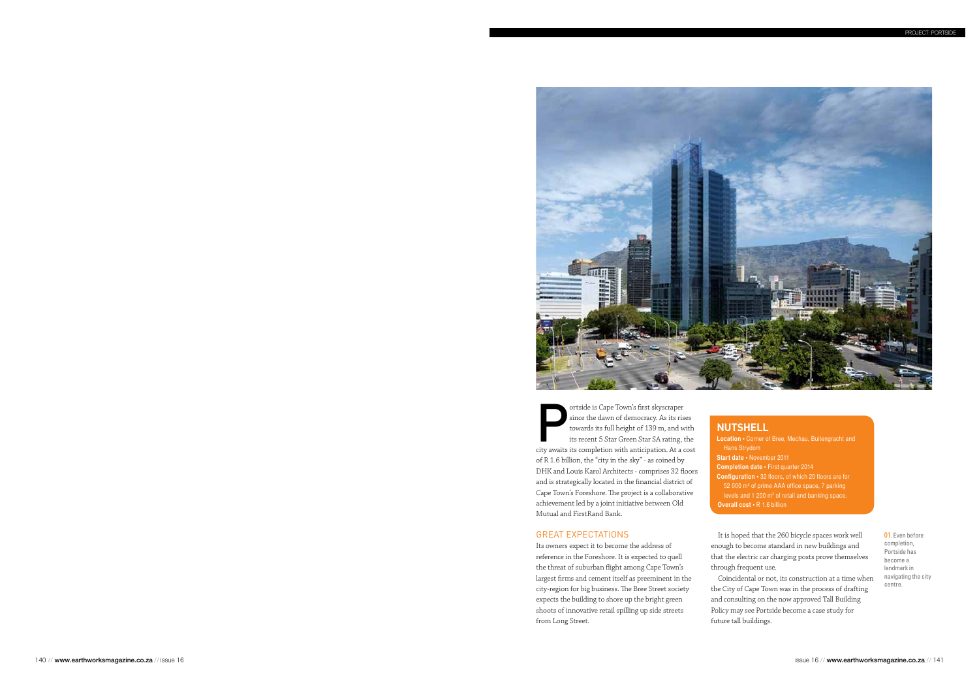# Great expectations

Its owners expect it to become the address of reference in the Foreshore. It is expected to quell the threat of suburban flight among Cape Town's largest firms and cement itself as preeminent in the city-region for big business. The Bree Street society expects the building to shore up the bright green shoots of innovative retail spilling up side streets from Long Street.

It is hoped that the 260 bicycle spaces work well enough to become standard in new buildings and that the electric car charging posts prove themselves through frequent use.

Coincidental or not, its construction at a time when the City of Cape Town was in the process of drafting and consulting on the now approved Tall Building Policy may see Portside become a case study for future tall buildings.



ortside is Cape Town's first skyscraper<br>since the dawn of democracy. As its ris<br>towards its full height of 139 m, and w<br>its recent 5 Star Green Star SA rating, t<br>city awaits its completion with anticipation. At a c since the dawn of democracy. As its rises towards its full height of 139 m, and with its recent 5 Star Green Star SA rating, the city awaits its completion with anticipation. At a cost of R 1.6 billion, the "city in the sky" - as coined by DHK and Louis Karol Architects - comprises 32 floors and is strategically located in the financial district of Cape Town's Foreshore. The project is a collaborative achievement led by a joint initiative between Old Mutual and FirstRand Bank.

> 01. Even before completion, Portside has become a landmark in navigating the city centre.

# **Nutshell**

# **Start date •** November 2011

- **Location** Corner of Bree, Mechau, Buitengracht and Hans Strydom
- **Completion date** First quarter 2014
- **Configuration** 32 floors, of which 20 floors are for
- 52 000 m<sup>2</sup> of prime AAA office space, 7 parking
- levels and  $1200 \text{ m}^2$  of retail and banking space.
- **Overall cost** R 1.6 billion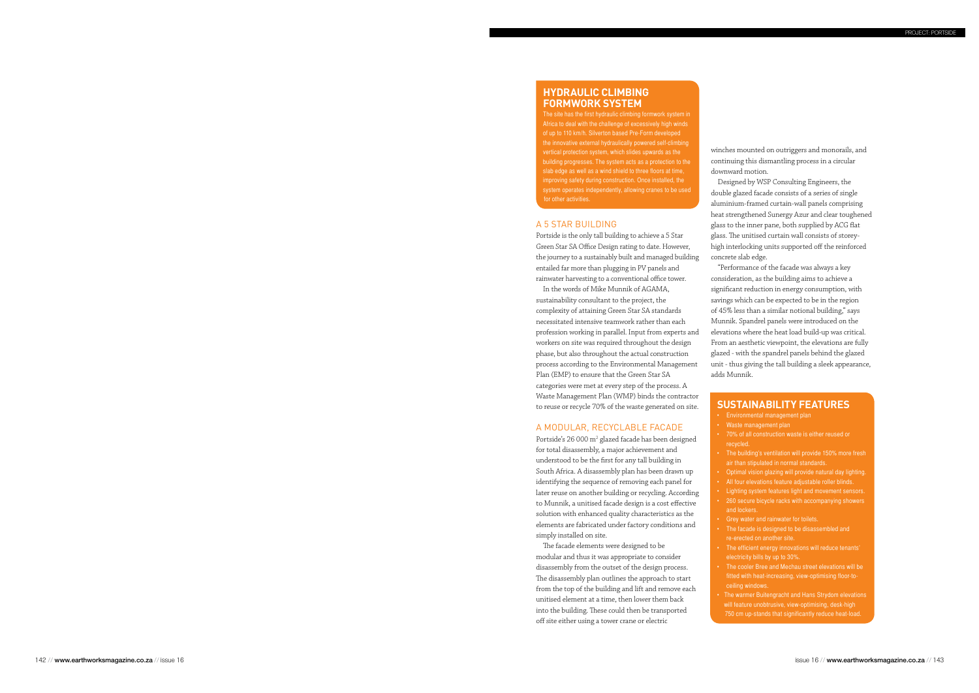Portside is the only tall building to achieve a 5 Star Green Star SA Office Design rating to date. However, the journey to a sustainably built and managed building entailed far more than plugging in PV panels and rainwater harvesting to a conventional office tower.

In the words of Mike Munnik of AGAMA, sustainability consultant to the project, the complexity of attaining Green Star SA standards necessitated intensive teamwork rather than each profession working in parallel. Input from experts and workers on site was required throughout the design phase, but also throughout the actual construction process according to the Environmental Management Plan (EMP) to ensure that the Green Star SA categories were met at every step of the process. A Waste Management Plan (WMP) binds the contractor to reuse or recycle 70% of the waste generated on site.

Portside's 26 000 m<sup>2</sup> glazed facade has been designed for total disassembly, a major achievement and understood to be the first for any tall building in South Africa. A disassembly plan has been drawn up identifying the sequence of removing each panel for later reuse on another building or recycling. According to Munnik, a unitised facade design is a cost effective solution with enhanced quality characteristics as the elements are fabricated under factory conditions and simply installed on site.

# A M O DULAR, RECYC LAB LE FACADE

The facade elements were designed to be modular and thus it was appropriate to consider disassembly from the outset of the design process. The disassembly plan outlines the approach to start from the top of the building and lift and remove each unitised element at a time, then lower them back into the building. These could then be transported off site either using a tower crane or electric

- **The building's ventilation will provide 150% more fresh** air than stipulated in normal standards.
- 
- 
- 
- 
- 
- 
- 
- electricity bills by up to 30%. • The cooler Bree and Mechau street elevations will be fitted with heat-increasing, view-optimising floor-toceiling windows.
- 

# **HYDRAULIC CLIMBING formwork syste**

winches mounted on outriggers and monorails, and continuing this dismantling process in a circular downward motion.

Designed by WSP Consulting Engineers, the double glazed facade consists of a series of single aluminium-framed curtain-wall panels comprising heat strengthened Sunergy Azur and clear toughened glass to the inner pane, both supplied by ACG flat glass. The unitised curtain wall consists of storeyhigh interlocking units supported off the reinforced concrete slab edge. "Performance of the facade was always a key

consideration, as the building aims to achieve a significant reduction in energy consumption, with savings which can be expected to be in the region of 45% less than a similar notional building," says Munnik. Spandrel panels were introduced on the elevations where the heat load build-up was critical. From an aesthetic viewpoint, the elevations are fully glazed - with the spandrel panels behind the glazed unit - thus giving the tall building a sleek appearance, adds Munnik.

# **susta inability fe atures**

- • Environmental management plan
- **Waste management plan**
- 70% of all construction waste is either reused or recycled.
- **Optimal vision glazing will provide natural day lighting.**
- • Lighting system features light and movement sensors. • 260 secure bicycle racks with accompanying showers and lockers.
- Grey water and rainwater for toilets.
- $\cdot$  The facade is designed to be disassembled and re-erected on another site.
- The efficient energy innovations will reduce tenants'
- • The warmer Buitengracht and Hans Strydom elevations will feature unobtrusive, view-optimising, desk-high 750 cm up-stands that significantly reduce heat-load.

The site has the first hydraulic climbing formwork system in Africa to deal with the challenge of excessively high winds of up to 110 km/h. Silverton based Pre-Form developed the innovative external hydraulically powered self-climbing vertical protection system, which slides upwards as the building progresses. The system acts as a protection to the slab edge as well as a wind shield to three floors at time, improving safety during construction. Once installed, the system operates independently, allowing cranes to be used

# A 5 STAR BUILD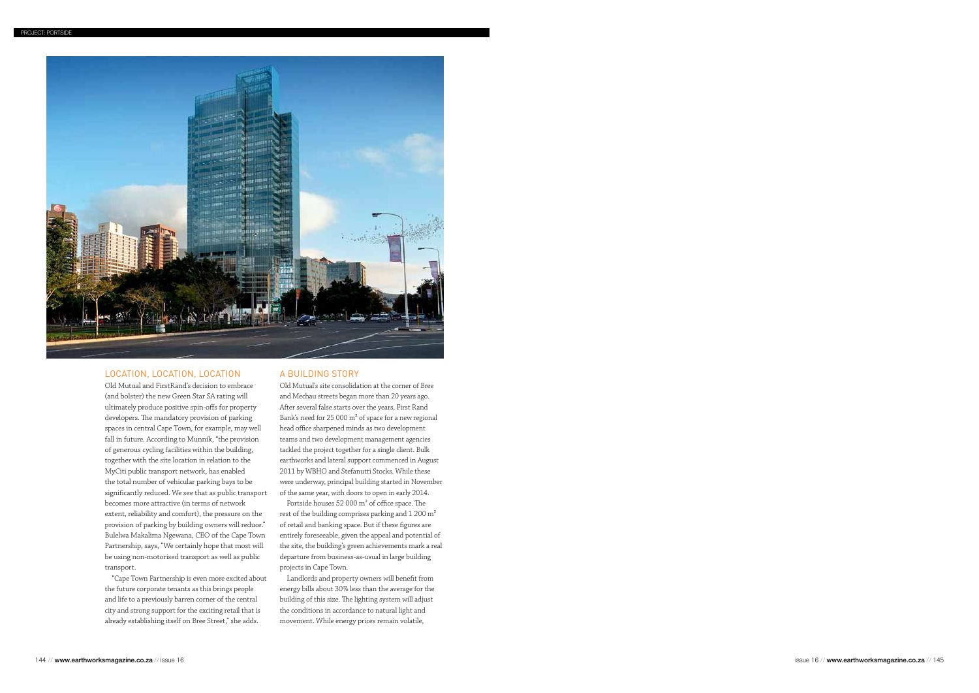

# Location, location, location

Old Mutual and FirstRand's decision to embrace (and bolster) the new Green Star SA rating will ultimately produce positive spin-offs for property developers. The mandatory provision of parking spaces in central Cape Town, for example, may well fall in future. According to Munnik, "the provision of generous cycling facilities within the building, together with the site location in relation to the MyCiti public transport network, has enabled the total number of vehicular parking bays to be significantly reduced. We see that as public transport becomes more attractive (in terms of network extent, reliability and comfort), the pressure on the provision of parking by building owners will reduce." Bulelwa Makalima Ngewana, CEO of the Cape Town Partnership, says, "We certainly hope that most will be using non-motorised transport as well as public transport.

"Cape Town Partnership is even more excited about the future corporate tenants as this brings people and life to a previously barren corner of the central city and strong support for the exciting retail that is already establishing itself on Bree Street," she adds.

# A building story

Old Mutual's site consolidation at the corner of Bree and Mechau streets began more than 20 years ago. After several false starts over the years, First Rand Bank's need for 25 000 m² of space for a new regional head office sharpened minds as two development teams and two development management agencies tackled the project together for a single client. Bulk earthworks and lateral support commenced in August 2011 by WBHO and Stefanutti Stocks. While these were underway, principal building started in November of the same year, with doors to open in early 2014.

Portside houses 52 000 m² of office space. The rest of the building comprises parking and 1 200 m² of retail and banking space. But if these figures are entirely foreseeable, given the appeal and potential of the site, the building's green achievements mark a real departure from business-as-usual in large building projects in Cape Town.

Landlords and property owners will benefit from energy bills about 30% less than the average for the building of this size. The lighting system will adjust the conditions in accordance to natural light and movement. While energy prices remain volatile,